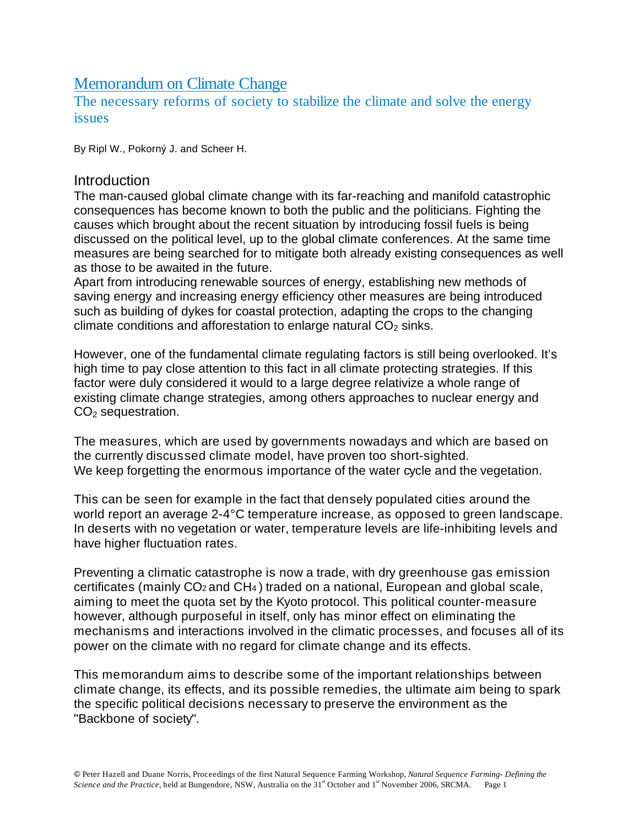# Memorandum on Climate Change

The necessary reforms of society to stabilize the climate and solve the energy issues

By Ripl W., Pokorný J. and Scheer H.

## **Introduction**

The man-caused global climate change with its far-reaching and manifold catastrophic consequences has become known to both the public and the politicians. Fighting the causes which brought about the recent situation by introducing fossil fuels is being discussed on the political level, up to the global climate conferences. At the same time measures are being searched for to mitigate both already existing consequences as well as those to be awaited in the future.

Apart from introducing renewable sources of energy, establishing new methods of saving energy and increasing energy efficiency other measures are being introduced such as building of dykes for coastal protection, adapting the crops to the changing climate conditions and afforestation to enlarge natural  $CO<sub>2</sub>$  sinks.

However, one of the fundamental climate regulating factors is still being overlooked. It's high time to pay close attention to this fact in all climate protecting strategies. If this factor were duly considered it would to a large degree relativize a whole range of existing climate change strategies, among others approaches to nuclear energy and  $CO<sub>2</sub>$  sequestration.

The measures, which are used by governments nowadays and which are based on the currently discussed climate model, have proven too short-sighted. We keep forgetting the enormous importance of the water cycle and the vegetation.

This can be seen for example in the fact that densely populated cities around the world report an average 2-4°C temperature increase, as opposed to green landscape. In deserts with no vegetation or water, temperature levels are life-inhibiting levels and have higher fluctuation rates.

Preventing a climatic catastrophe is now a trade, with dry greenhouse gas emission certificates (mainly CO2 and CH4 ) traded on a national, European and global scale, aiming to meet the quota set by the Kyoto protocol. This political counter-measure however, although purposeful in itself, only has minor effect on eliminating the mechanisms and interactions involved in the climatic processes, and focuses all of its power on the climate with no regard for climate change and its effects.

This memorandum aims to describe some of the important relationships between climate change, its effects, and its possible remedies, the ultimate aim being to spark the specific political decisions necessary to preserve the environment as the "Backbone of society".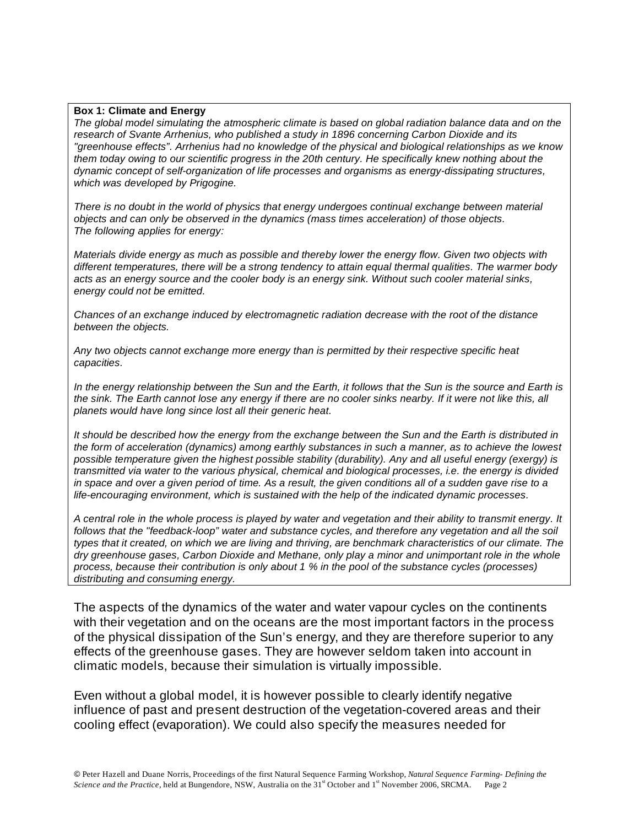#### **Box 1: Climate and Energy**

*The global model simulating the atmospheric climate is based on global radiation balance data and on the research of Svante Arrhenius, who published a study in 1896 concerning Carbon Dioxide and its "greenhouse effects". Arrhenius had no knowledge of the physical and biological relationships as we know them today owing to our scientific progress in the 20th century. He specifically knew nothing about the dynamic concept of self-organization of life processes and organisms as energy-dissipating structures, which was developed by Prigogine.*

*There is no doubt in the world of physics that energy undergoes continual exchange between material objects and can only be observed in the dynamics (mass times acceleration) of those objects. The following applies for energy:* 

*Materials divide energy as much as possible and thereby lower the energy flow. Given two objects with different temperatures, there will be a strong tendency to attain equal thermal qualities. The warmer body acts as an energy source and the cooler body is an energy sink. Without such cooler material sinks, energy could not be emitted.*

*Chances of an exchange induced by electromagnetic radiation decrease with the root of the distance between the objects.* 

*Any two objects cannot exchange more energy than is permitted by their respective specific heat capacities.* 

*In the energy relationship between the Sun and the Earth, it follows that the Sun is the source and Earth is the sink. The Earth cannot lose any energy if there are no cooler sinks nearby. If it were not like this, all planets would have long since lost all their generic heat.*

*It should be described how the energy from the exchange between the Sun and the Earth is distributed in the form of acceleration (dynamics) among earthly substances in such a manner, as to achieve the lowest possible temperature given the highest possible stability (durability). Any and all useful energy (exergy) is transmitted via water to the various physical, chemical and biological processes, i.e. the energy is divided in space and over a given period of time. As a result, the given conditions all of a sudden gave rise to a life-encouraging environment, which is sustained with the help of the indicated dynamic processes.*

*A central role in the whole process is played by water and vegetation and their ability to transmit energy. It follows that the "feedback-loop" water and substance cycles, and therefore any vegetation and all the soil types that it created, on which we are living and thriving, are benchmark characteristics of our climate. The dry greenhouse gases, Carbon Dioxide and Methane, only play a minor and unimportant role in the whole process, because their contribution is only about 1 % in the pool of the substance cycles (processes) distributing and consuming energy.*

The aspects of the dynamics of the water and water vapour cycles on the continents with their vegetation and on the oceans are the most important factors in the process of the physical dissipation of the Sun's energy, and they are therefore superior to any effects of the greenhouse gases. They are however seldom taken into account in climatic models, because their simulation is virtually impossible.

Even without a global model, it is however possible to clearly identify negative influence of past and present destruction of the vegetation-covered areas and their cooling effect (evaporation). We could also specify the measures needed for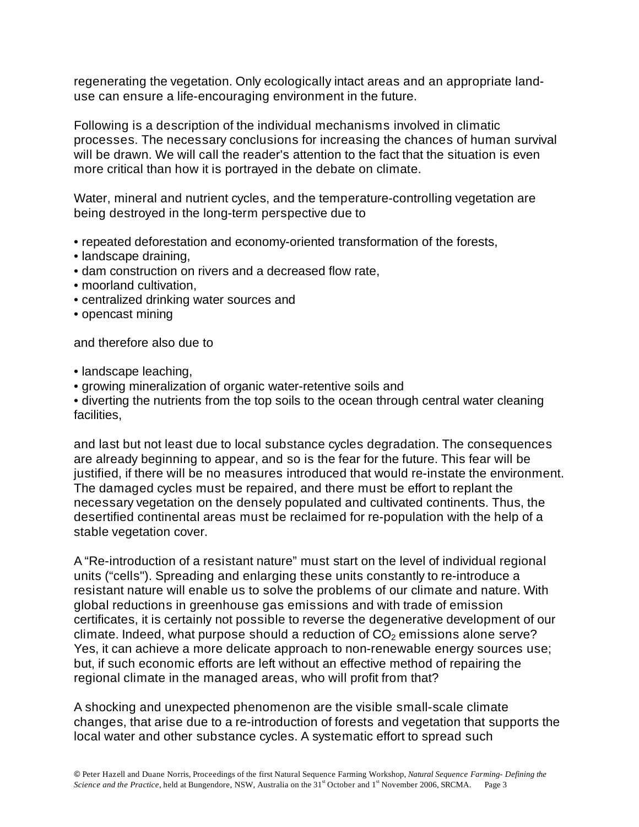regenerating the vegetation. Only ecologically intact areas and an appropriate landuse can ensure a life-encouraging environment in the future.

Following is a description of the individual mechanisms involved in climatic processes. The necessary conclusions for increasing the chances of human survival will be drawn. We will call the reader's attention to the fact that the situation is even more critical than how it is portrayed in the debate on climate.

Water, mineral and nutrient cycles, and the temperature-controlling vegetation are being destroyed in the long-term perspective due to

- repeated deforestation and economy-oriented transformation of the forests,
- landscape draining,
- dam construction on rivers and a decreased flow rate,
- moorland cultivation,
- centralized drinking water sources and
- opencast mining

and therefore also due to

- landscape leaching,
- growing mineralization of organic water-retentive soils and
- diverting the nutrients from the top soils to the ocean through central water cleaning facilities,

and last but not least due to local substance cycles degradation. The consequences are already beginning to appear, and so is the fear for the future. This fear will be justified, if there will be no measures introduced that would re-instate the environment. The damaged cycles must be repaired, and there must be effort to replant the necessary vegetation on the densely populated and cultivated continents. Thus, the desertified continental areas must be reclaimed for re-population with the help of a stable vegetation cover.

A "Re-introduction of a resistant nature" must start on the level of individual regional units ("cells"). Spreading and enlarging these units constantly to re-introduce a resistant nature will enable us to solve the problems of our climate and nature. With global reductions in greenhouse gas emissions and with trade of emission certificates, it is certainly not possible to reverse the degenerative development of our climate. Indeed, what purpose should a reduction of  $CO<sub>2</sub>$  emissions alone serve? Yes, it can achieve a more delicate approach to non-renewable energy sources use; but, if such economic efforts are left without an effective method of repairing the regional climate in the managed areas, who will profit from that?

A shocking and unexpected phenomenon are the visible small-scale climate changes, that arise due to a re-introduction of forests and vegetation that supports the local water and other substance cycles. A systematic effort to spread such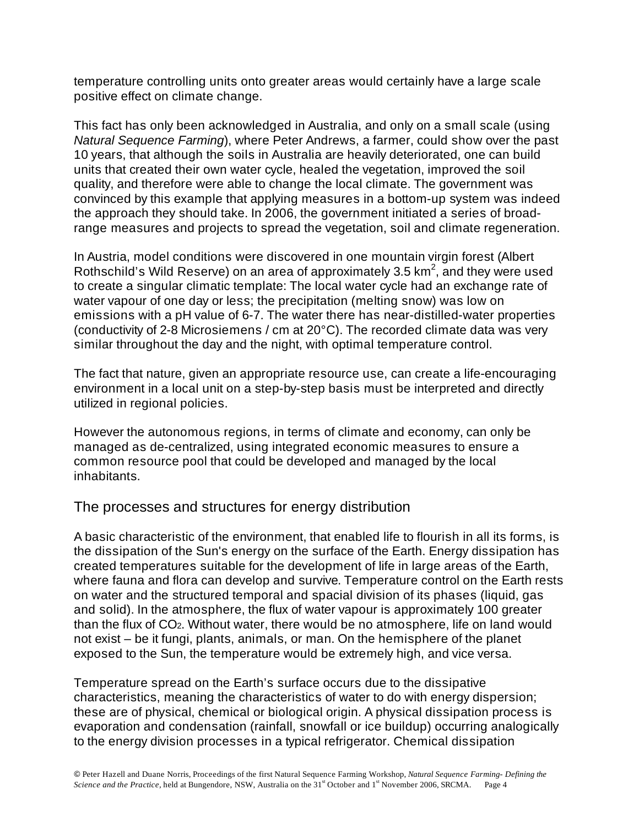temperature controlling units onto greater areas would certainly have a large scale positive effect on climate change.

This fact has only been acknowledged in Australia, and only on a small scale (using *Natural Sequence Farming*), where Peter Andrews, a farmer, could show over the past 10 years, that although the soils in Australia are heavily deteriorated, one can build units that created their own water cycle, healed the vegetation, improved the soil quality, and therefore were able to change the local climate. The government was convinced by this example that applying measures in a bottom-up system was indeed the approach they should take. In 2006, the government initiated a series of broadrange measures and projects to spread the vegetation, soil and climate regeneration.

In Austria, model conditions were discovered in one mountain virgin forest (Albert Rothschild's Wild Reserve) on an area of approximately 3.5  $km^2$ , and they were used to create a singular climatic template: The local water cycle had an exchange rate of water vapour of one day or less; the precipitation (melting snow) was low on emissions with a pH value of 6-7. The water there has near-distilled-water properties (conductivity of 2-8 Microsiemens / cm at 20°C). The recorded climate data was very similar throughout the day and the night, with optimal temperature control.

The fact that nature, given an appropriate resource use, can create a life-encouraging environment in a local unit on a step-by-step basis must be interpreted and directly utilized in regional policies.

However the autonomous regions, in terms of climate and economy, can only be managed as de-centralized, using integrated economic measures to ensure a common resource pool that could be developed and managed by the local inhabitants.

# The processes and structures for energy distribution

A basic characteristic of the environment, that enabled life to flourish in all its forms, is the dissipation of the Sun's energy on the surface of the Earth. Energy dissipation has created temperatures suitable for the development of life in large areas of the Earth, where fauna and flora can develop and survive. Temperature control on the Earth rests on water and the structured temporal and spacial division of its phases (liquid, gas and solid). In the atmosphere, the flux of water vapour is approximately 100 greater than the flux of CO2. Without water, there would be no atmosphere, life on land would not exist – be it fungi, plants, animals, or man. On the hemisphere of the planet exposed to the Sun, the temperature would be extremely high, and vice versa.

Temperature spread on the Earth's surface occurs due to the dissipative characteristics, meaning the characteristics of water to do with energy dispersion; these are of physical, chemical or biological origin. A physical dissipation process is evaporation and condensation (rainfall, snowfall or ice buildup) occurring analogically to the energy division processes in a typical refrigerator. Chemical dissipation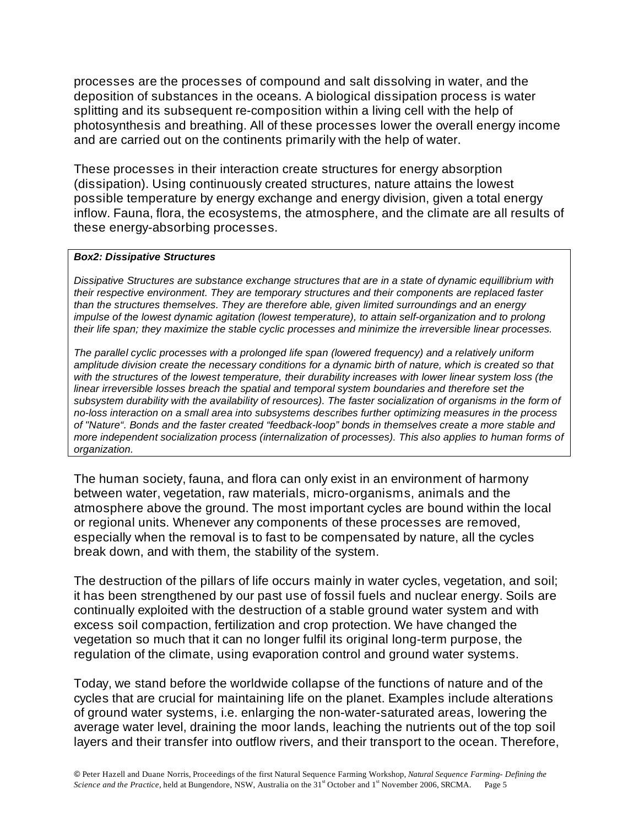processes are the processes of compound and salt dissolving in water, and the deposition of substances in the oceans. A biological dissipation process is water splitting and its subsequent re-composition within a living cell with the help of photosynthesis and breathing. All of these processes lower the overall energy income and are carried out on the continents primarily with the help of water.

These processes in their interaction create structures for energy absorption (dissipation). Using continuously created structures, nature attains the lowest possible temperature by energy exchange and energy division, given a total energy inflow. Fauna, flora, the ecosystems, the atmosphere, and the climate are all results of these energy-absorbing processes.

#### *Box2: Dissipative Structures*

*Dissipative Structures are substance exchange structures that are in a state of dynamic equillibrium with their respective environment. They are temporary structures and their components are replaced faster than the structures themselves. They are therefore able, given limited surroundings and an energy impulse of the lowest dynamic agitation (lowest temperature), to attain self-organization and to prolong their life span; they maximize the stable cyclic processes and minimize the irreversible linear processes.*

*The parallel cyclic processes with a prolonged life span (lowered frequency) and a relatively uniform amplitude division create the necessary conditions for a dynamic birth of nature, which is created so that with the structures of the lowest temperature, their durability increases with lower linear system loss (the linear irreversible losses breach the spatial and temporal system boundaries and therefore set the subsystem durability with the availability of resources). The faster socialization of organisms in the form of no-loss interaction on a small area into subsystems describes further optimizing measures in the process of "Nature". Bonds and the faster created "feedback-loop" bonds in themselves create a more stable and more independent socialization process (internalization of processes). This also applies to human forms of organization.*

The human society, fauna, and flora can only exist in an environment of harmony between water, vegetation, raw materials, micro-organisms, animals and the atmosphere above the ground. The most important cycles are bound within the local or regional units. Whenever any components of these processes are removed, especially when the removal is to fast to be compensated by nature, all the cycles break down, and with them, the stability of the system.

The destruction of the pillars of life occurs mainly in water cycles, vegetation, and soil; it has been strengthened by our past use of fossil fuels and nuclear energy. Soils are continually exploited with the destruction of a stable ground water system and with excess soil compaction, fertilization and crop protection. We have changed the vegetation so much that it can no longer fulfil its original long-term purpose, the regulation of the climate, using evaporation control and ground water systems.

Today, we stand before the worldwide collapse of the functions of nature and of the cycles that are crucial for maintaining life on the planet. Examples include alterations of ground water systems, i.e. enlarging the non-water-saturated areas, lowering the average water level, draining the moor lands, leaching the nutrients out of the top soil layers and their transfer into outflow rivers, and their transport to the ocean. Therefore,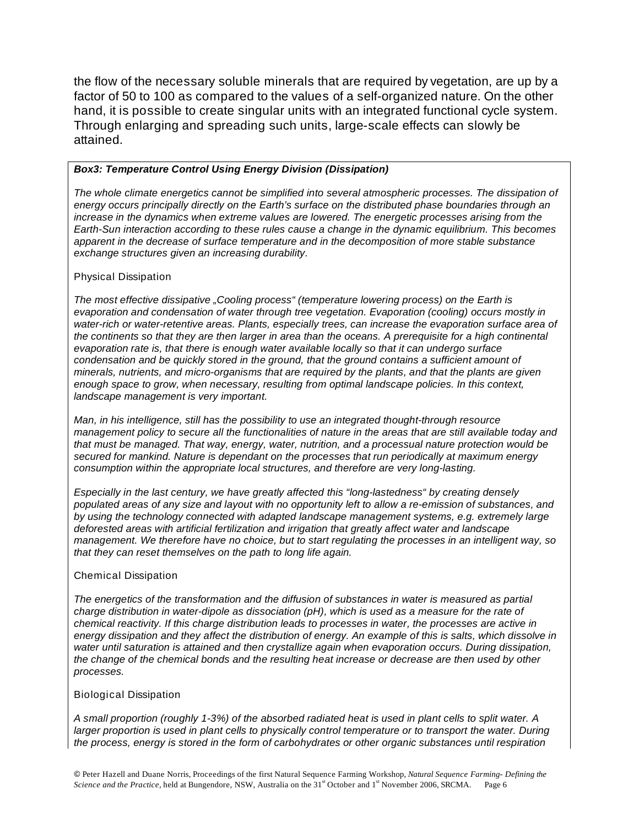the flow of the necessary soluble minerals that are required by vegetation, are up by a factor of 50 to 100 as compared to the values of a self-organized nature. On the other hand, it is possible to create singular units with an integrated functional cycle system. Through enlarging and spreading such units, large-scale effects can slowly be attained.

#### *Box3: Temperature Control Using Energy Division (Dissipation)*

*The whole climate energetics cannot be simplified into several atmospheric processes. The dissipation of energy occurs principally directly on the Earth's surface on the distributed phase boundaries through an increase in the dynamics when extreme values are lowered. The energetic processes arising from the Earth-Sun interaction according to these rules cause a change in the dynamic equilibrium. This becomes apparent in the decrease of surface temperature and in the decomposition of more stable substance exchange structures given an increasing durability.*

#### Physical Dissipation

*The most effective dissipative "Cooling process" (temperature lowering process) on the Earth is evaporation and condensation of water through tree vegetation. Evaporation (cooling) occurs mostly in water-rich or water-retentive areas. Plants, especially trees, can increase the evaporation surface area of the continents so that they are then larger in area than the oceans. A prerequisite for a high continental evaporation rate is, that there is enough water available locally so that it can undergo surface condensation and be quickly stored in the ground, that the ground contains a sufficient amount of minerals, nutrients, and micro-organisms that are required by the plants, and that the plants are given enough space to grow, when necessary, resulting from optimal landscape policies. In this context, landscape management is very important.*

*Man, in his intelligence, still has the possibility to use an integrated thought-through resource management policy to secure all the functionalities of nature in the areas that are still available today and that must be managed. That way, energy, water, nutrition, and a processual nature protection would be secured for mankind. Nature is dependant on the processes that run periodically at maximum energy consumption within the appropriate local structures, and therefore are very long-lasting.*

*Especially in the last century, we have greatly affected this "long-lastedness" by creating densely populated areas of any size and layout with no opportunity left to allow a re-emission of substances, and by using the technology connected with adapted landscape management systems, e.g. extremely large deforested areas with artificial fertilization and irrigation that greatly affect water and landscape management. We therefore have no choice, but to start regulating the processes in an intelligent way, so that they can reset themselves on the path to long life again.*

#### Chemical Dissipation

*The energetics of the transformation and the diffusion of substances in water is measured as partial charge distribution in water-dipole as dissociation (pH), which is used as a measure for the rate of chemical reactivity. If this charge distribution leads to processes in water, the processes are active in energy dissipation and they affect the distribution of energy. An example of this is salts, which dissolve in water until saturation is attained and then crystallize again when evaporation occurs. During dissipation, the change of the chemical bonds and the resulting heat increase or decrease are then used by other processes.*

#### Biological Dissipation

*A small proportion (roughly 1-3%) of the absorbed radiated heat is used in plant cells to split water. A larger proportion is used in plant cells to physically control temperature or to transport the water. During the process, energy is stored in the form of carbohydrates or other organic substances until respiration*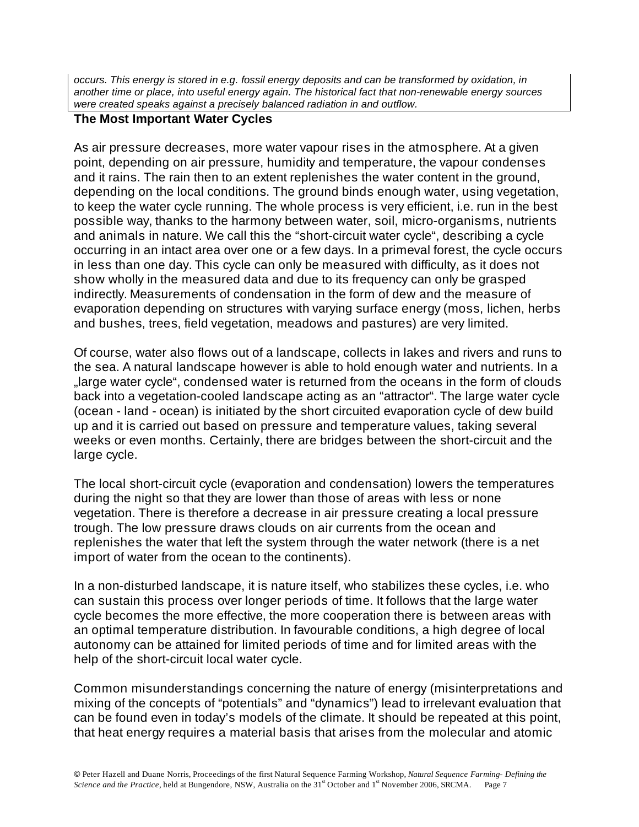*occurs. This energy is stored in e.g. fossil energy deposits and can be transformed by oxidation, in another time or place, into useful energy again. The historical fact that non-renewable energy sources were created speaks against a precisely balanced radiation in and outflow.*

### **The Most Important Water Cycles**

As air pressure decreases, more water vapour rises in the atmosphere. At a given point, depending on air pressure, humidity and temperature, the vapour condenses and it rains. The rain then to an extent replenishes the water content in the ground, depending on the local conditions. The ground binds enough water, using vegetation, to keep the water cycle running. The whole process is very efficient, i.e. run in the best possible way, thanks to the harmony between water, soil, micro-organisms, nutrients and animals in nature. We call this the "short-circuit water cycle", describing a cycle occurring in an intact area over one or a few days. In a primeval forest, the cycle occurs in less than one day. This cycle can only be measured with difficulty, as it does not show wholly in the measured data and due to its frequency can only be grasped indirectly. Measurements of condensation in the form of dew and the measure of evaporation depending on structures with varying surface energy (moss, lichen, herbs and bushes, trees, field vegetation, meadows and pastures) are very limited.

Of course, water also flows out of a landscape, collects in lakes and rivers and runs to the sea. A natural landscape however is able to hold enough water and nutrients. In a ..large water cycle", condensed water is returned from the oceans in the form of clouds back into a vegetation-cooled landscape acting as an "attractor". The large water cycle (ocean - land - ocean) is initiated by the short circuited evaporation cycle of dew build up and it is carried out based on pressure and temperature values, taking several weeks or even months. Certainly, there are bridges between the short-circuit and the large cycle.

The local short-circuit cycle (evaporation and condensation) lowers the temperatures during the night so that they are lower than those of areas with less or none vegetation. There is therefore a decrease in air pressure creating a local pressure trough. The low pressure draws clouds on air currents from the ocean and replenishes the water that left the system through the water network (there is a net import of water from the ocean to the continents).

In a non-disturbed landscape, it is nature itself, who stabilizes these cycles, i.e. who can sustain this process over longer periods of time. It follows that the large water cycle becomes the more effective, the more cooperation there is between areas with an optimal temperature distribution. In favourable conditions, a high degree of local autonomy can be attained for limited periods of time and for limited areas with the help of the short-circuit local water cycle.

Common misunderstandings concerning the nature of energy (misinterpretations and mixing of the concepts of "potentials" and "dynamics") lead to irrelevant evaluation that can be found even in today's models of the climate. It should be repeated at this point, that heat energy requires a material basis that arises from the molecular and atomic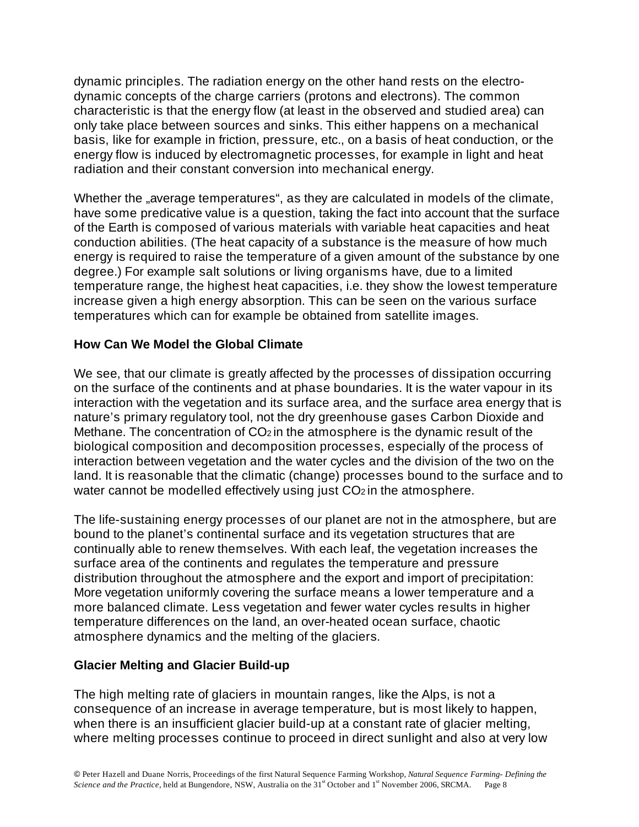dynamic principles. The radiation energy on the other hand rests on the electrodynamic concepts of the charge carriers (protons and electrons). The common characteristic is that the energy flow (at least in the observed and studied area) can only take place between sources and sinks. This either happens on a mechanical basis, like for example in friction, pressure, etc., on a basis of heat conduction, or the energy flow is induced by electromagnetic processes, for example in light and heat radiation and their constant conversion into mechanical energy.

Whether the "average temperatures", as they are calculated in models of the climate, have some predicative value is a question, taking the fact into account that the surface of the Earth is composed of various materials with variable heat capacities and heat conduction abilities. (The heat capacity of a substance is the measure of how much energy is required to raise the temperature of a given amount of the substance by one degree.) For example salt solutions or living organisms have, due to a limited temperature range, the highest heat capacities, i.e. they show the lowest temperature increase given a high energy absorption. This can be seen on the various surface temperatures which can for example be obtained from satellite images.

## **How Can We Model the Global Climate**

We see, that our climate is greatly affected by the processes of dissipation occurring on the surface of the continents and at phase boundaries. It is the water vapour in its interaction with the vegetation and its surface area, and the surface area energy that is nature's primary regulatory tool, not the dry greenhouse gases Carbon Dioxide and Methane. The concentration of CO<sub>2</sub> in the atmosphere is the dynamic result of the biological composition and decomposition processes, especially of the process of interaction between vegetation and the water cycles and the division of the two on the land. It is reasonable that the climatic (change) processes bound to the surface and to water cannot be modelled effectively using just CO<sub>2</sub> in the atmosphere.

The life-sustaining energy processes of our planet are not in the atmosphere, but are bound to the planet's continental surface and its vegetation structures that are continually able to renew themselves. With each leaf, the vegetation increases the surface area of the continents and regulates the temperature and pressure distribution throughout the atmosphere and the export and import of precipitation: More vegetation uniformly covering the surface means a lower temperature and a more balanced climate. Less vegetation and fewer water cycles results in higher temperature differences on the land, an over-heated ocean surface, chaotic atmosphere dynamics and the melting of the glaciers.

### **Glacier Melting and Glacier Build-up**

The high melting rate of glaciers in mountain ranges, like the Alps, is not a consequence of an increase in average temperature, but is most likely to happen, when there is an insufficient glacier build-up at a constant rate of glacier melting, where melting processes continue to proceed in direct sunlight and also at very low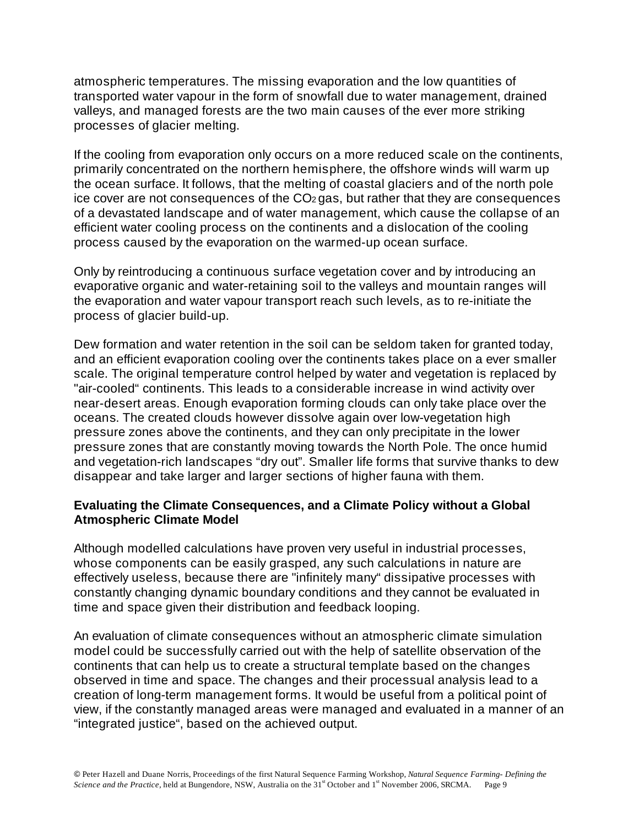atmospheric temperatures. The missing evaporation and the low quantities of transported water vapour in the form of snowfall due to water management, drained valleys, and managed forests are the two main causes of the ever more striking processes of glacier melting.

If the cooling from evaporation only occurs on a more reduced scale on the continents, primarily concentrated on the northern hemisphere, the offshore winds will warm up the ocean surface. It follows, that the melting of coastal glaciers and of the north pole ice cover are not consequences of the CO2 gas, but rather that they are consequences of a devastated landscape and of water management, which cause the collapse of an efficient water cooling process on the continents and a dislocation of the cooling process caused by the evaporation on the warmed-up ocean surface.

Only by reintroducing a continuous surface vegetation cover and by introducing an evaporative organic and water-retaining soil to the valleys and mountain ranges will the evaporation and water vapour transport reach such levels, as to re-initiate the process of glacier build-up.

Dew formation and water retention in the soil can be seldom taken for granted today, and an efficient evaporation cooling over the continents takes place on a ever smaller scale. The original temperature control helped by water and vegetation is replaced by "air-cooled" continents. This leads to a considerable increase in wind activity over near-desert areas. Enough evaporation forming clouds can only take place over the oceans. The created clouds however dissolve again over low-vegetation high pressure zones above the continents, and they can only precipitate in the lower pressure zones that are constantly moving towards the North Pole. The once humid and vegetation-rich landscapes "dry out". Smaller life forms that survive thanks to dew disappear and take larger and larger sections of higher fauna with them.

### **Evaluating the Climate Consequences, and a Climate Policy without a Global Atmospheric Climate Model**

Although modelled calculations have proven very useful in industrial processes, whose components can be easily grasped, any such calculations in nature are effectively useless, because there are "infinitely many" dissipative processes with constantly changing dynamic boundary conditions and they cannot be evaluated in time and space given their distribution and feedback looping.

An evaluation of climate consequences without an atmospheric climate simulation model could be successfully carried out with the help of satellite observation of the continents that can help us to create a structural template based on the changes observed in time and space. The changes and their processual analysis lead to a creation of long-term management forms. It would be useful from a political point of view, if the constantly managed areas were managed and evaluated in a manner of an "integrated justice", based on the achieved output.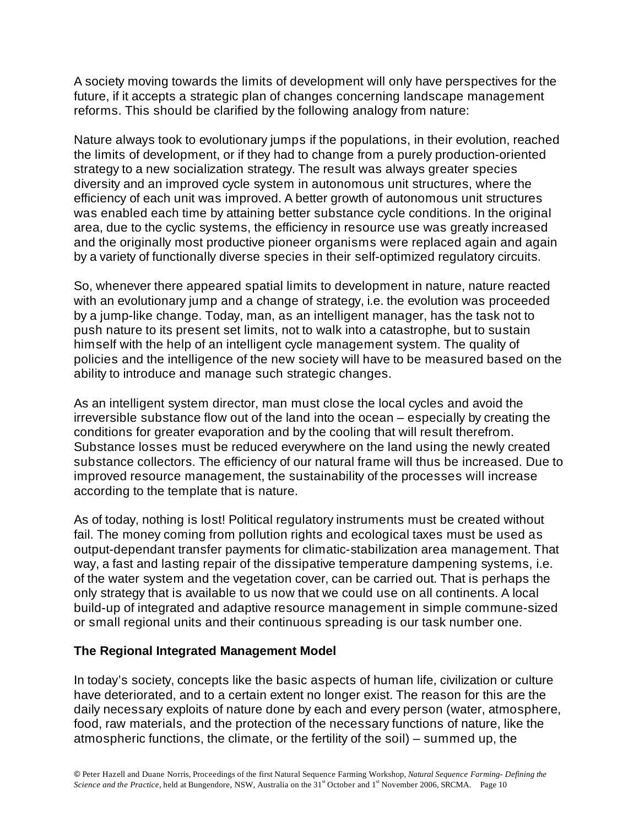A society moving towards the limits of development will only have perspectives for the future, if it accepts a strategic plan of changes concerning landscape management reforms. This should be clarified by the following analogy from nature:

Nature always took to evolutionary jumps if the populations, in their evolution, reached the limits of development, or if they had to change from a purely production-oriented strategy to a new socialization strategy. The result was always greater species diversity and an improved cycle system in autonomous unit structures, where the efficiency of each unit was improved. A better growth of autonomous unit structures was enabled each time by attaining better substance cycle conditions. In the original area, due to the cyclic systems, the efficiency in resource use was greatly increased and the originally most productive pioneer organisms were replaced again and again by a variety of functionally diverse species in their self-optimized regulatory circuits.

So, whenever there appeared spatial limits to development in nature, nature reacted with an evolutionary jump and a change of strategy, i.e. the evolution was proceeded by a jump-like change. Today, man, as an intelligent manager, has the task not to push nature to its present set limits, not to walk into a catastrophe, but to sustain himself with the help of an intelligent cycle management system. The quality of policies and the intelligence of the new society will have to be measured based on the ability to introduce and manage such strategic changes.

As an intelligent system director, man must close the local cycles and avoid the irreversible substance flow out of the land into the ocean – especially by creating the conditions for greater evaporation and by the cooling that will result therefrom. Substance losses must be reduced everywhere on the land using the newly created substance collectors. The efficiency of our natural frame will thus be increased. Due to improved resource management, the sustainability of the processes will increase according to the template that is nature.

As of today, nothing is lost! Political regulatory instruments must be created without fail. The money coming from pollution rights and ecological taxes must be used as output-dependant transfer payments for climatic-stabilization area management. That way, a fast and lasting repair of the dissipative temperature dampening systems, i.e. of the water system and the vegetation cover, can be carried out. That is perhaps the only strategy that is available to us now that we could use on all continents. A local build-up of integrated and adaptive resource management in simple commune-sized or small regional units and their continuous spreading is our task number one.

### **The Regional Integrated Management Model**

In today's society, concepts like the basic aspects of human life, civilization or culture have deteriorated, and to a certain extent no longer exist. The reason for this are the daily necessary exploits of nature done by each and every person (water, atmosphere, food, raw materials, and the protection of the necessary functions of nature, like the atmospheric functions, the climate, or the fertility of the soil) – summed up, the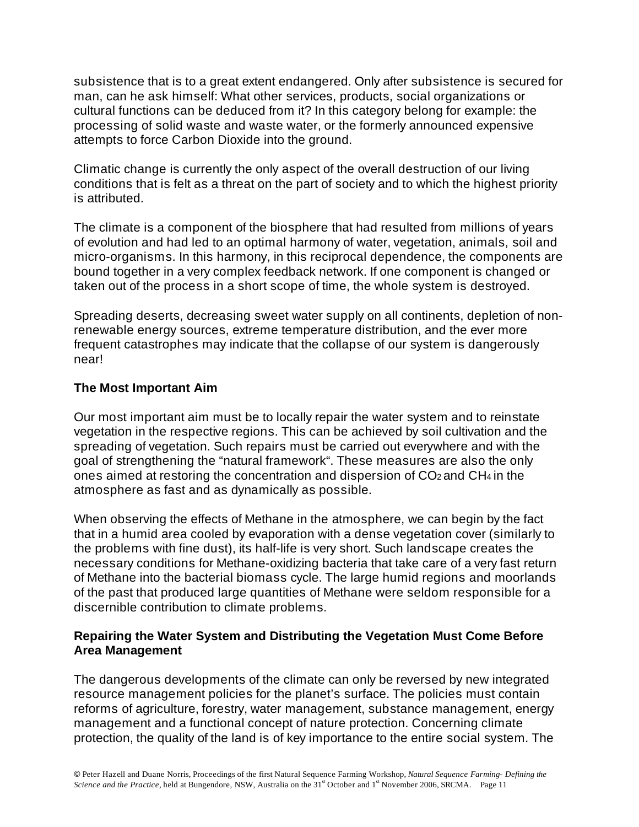subsistence that is to a great extent endangered. Only after subsistence is secured for man, can he ask himself: What other services, products, social organizations or cultural functions can be deduced from it? In this category belong for example: the processing of solid waste and waste water, or the formerly announced expensive attempts to force Carbon Dioxide into the ground.

Climatic change is currently the only aspect of the overall destruction of our living conditions that is felt as a threat on the part of society and to which the highest priority is attributed.

The climate is a component of the biosphere that had resulted from millions of years of evolution and had led to an optimal harmony of water, vegetation, animals, soil and micro-organisms. In this harmony, in this reciprocal dependence, the components are bound together in a very complex feedback network. If one component is changed or taken out of the process in a short scope of time, the whole system is destroyed.

Spreading deserts, decreasing sweet water supply on all continents, depletion of nonrenewable energy sources, extreme temperature distribution, and the ever more frequent catastrophes may indicate that the collapse of our system is dangerously near!

## **The Most Important Aim**

Our most important aim must be to locally repair the water system and to reinstate vegetation in the respective regions. This can be achieved by soil cultivation and the spreading of vegetation. Such repairs must be carried out everywhere and with the goal of strengthening the "natural framework". These measures are also the only ones aimed at restoring the concentration and dispersion of  $CO<sub>2</sub>$  and  $CH<sub>4</sub>$  in the atmosphere as fast and as dynamically as possible.

When observing the effects of Methane in the atmosphere, we can begin by the fact that in a humid area cooled by evaporation with a dense vegetation cover (similarly to the problems with fine dust), its half-life is very short. Such landscape creates the necessary conditions for Methane-oxidizing bacteria that take care of a very fast return of Methane into the bacterial biomass cycle. The large humid regions and moorlands of the past that produced large quantities of Methane were seldom responsible for a discernible contribution to climate problems.

## **Repairing the Water System and Distributing the Vegetation Must Come Before Area Management**

The dangerous developments of the climate can only be reversed by new integrated resource management policies for the planet's surface. The policies must contain reforms of agriculture, forestry, water management, substance management, energy management and a functional concept of nature protection. Concerning climate protection, the quality of the land is of key importance to the entire social system. The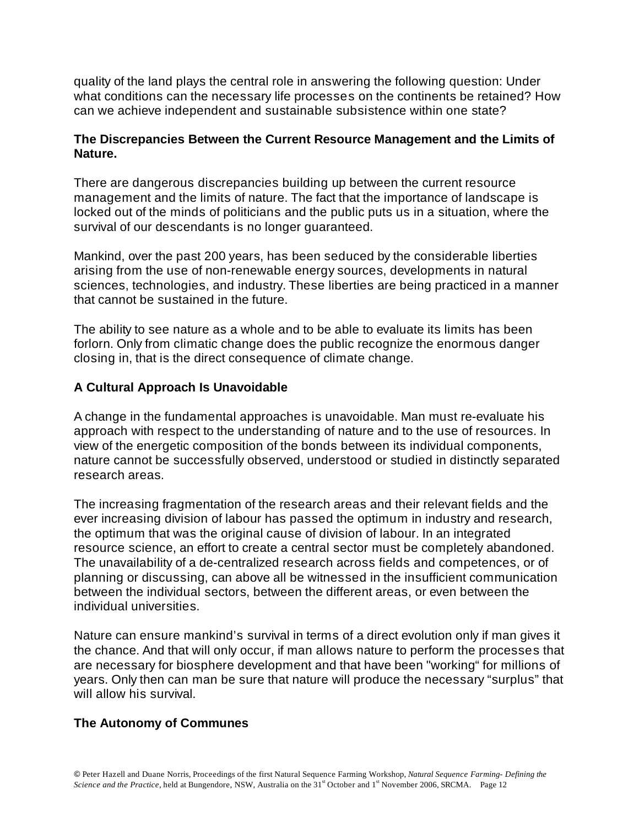quality of the land plays the central role in answering the following question: Under what conditions can the necessary life processes on the continents be retained? How can we achieve independent and sustainable subsistence within one state?

## **The Discrepancies Between the Current Resource Management and the Limits of Nature.**

There are dangerous discrepancies building up between the current resource management and the limits of nature. The fact that the importance of landscape is locked out of the minds of politicians and the public puts us in a situation, where the survival of our descendants is no longer guaranteed.

Mankind, over the past 200 years, has been seduced by the considerable liberties arising from the use of non-renewable energy sources, developments in natural sciences, technologies, and industry. These liberties are being practiced in a manner that cannot be sustained in the future.

The ability to see nature as a whole and to be able to evaluate its limits has been forlorn. Only from climatic change does the public recognize the enormous danger closing in, that is the direct consequence of climate change.

## **A Cultural Approach Is Unavoidable**

A change in the fundamental approaches is unavoidable. Man must re-evaluate his approach with respect to the understanding of nature and to the use of resources. In view of the energetic composition of the bonds between its individual components, nature cannot be successfully observed, understood or studied in distinctly separated research areas.

The increasing fragmentation of the research areas and their relevant fields and the ever increasing division of labour has passed the optimum in industry and research, the optimum that was the original cause of division of labour. In an integrated resource science, an effort to create a central sector must be completely abandoned. The unavailability of a de-centralized research across fields and competences, or of planning or discussing, can above all be witnessed in the insufficient communication between the individual sectors, between the different areas, or even between the individual universities.

Nature can ensure mankind's survival in terms of a direct evolution only if man gives it the chance. And that will only occur, if man allows nature to perform the processes that are necessary for biosphere development and that have been "working" for millions of years. Only then can man be sure that nature will produce the necessary "surplus" that will allow his survival.

### **The Autonomy of Communes**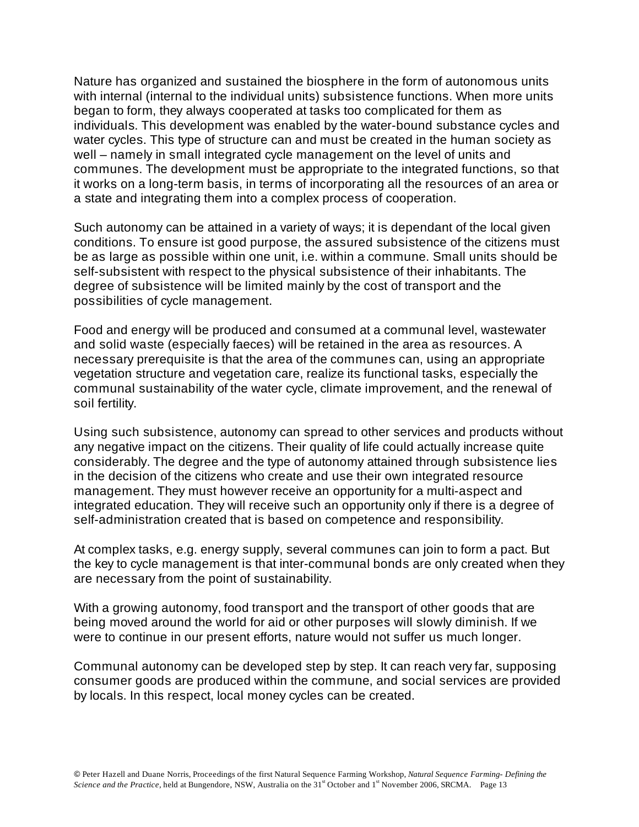Nature has organized and sustained the biosphere in the form of autonomous units with internal (internal to the individual units) subsistence functions. When more units began to form, they always cooperated at tasks too complicated for them as individuals. This development was enabled by the water-bound substance cycles and water cycles. This type of structure can and must be created in the human society as well – namely in small integrated cycle management on the level of units and communes. The development must be appropriate to the integrated functions, so that it works on a long-term basis, in terms of incorporating all the resources of an area or a state and integrating them into a complex process of cooperation.

Such autonomy can be attained in a variety of ways; it is dependant of the local given conditions. To ensure ist good purpose, the assured subsistence of the citizens must be as large as possible within one unit, i.e. within a commune. Small units should be self-subsistent with respect to the physical subsistence of their inhabitants. The degree of subsistence will be limited mainly by the cost of transport and the possibilities of cycle management.

Food and energy will be produced and consumed at a communal level, wastewater and solid waste (especially faeces) will be retained in the area as resources. A necessary prerequisite is that the area of the communes can, using an appropriate vegetation structure and vegetation care, realize its functional tasks, especially the communal sustainability of the water cycle, climate improvement, and the renewal of soil fertility.

Using such subsistence, autonomy can spread to other services and products without any negative impact on the citizens. Their quality of life could actually increase quite considerably. The degree and the type of autonomy attained through subsistence lies in the decision of the citizens who create and use their own integrated resource management. They must however receive an opportunity for a multi-aspect and integrated education. They will receive such an opportunity only if there is a degree of self-administration created that is based on competence and responsibility.

At complex tasks, e.g. energy supply, several communes can join to form a pact. But the key to cycle management is that inter-communal bonds are only created when they are necessary from the point of sustainability.

With a growing autonomy, food transport and the transport of other goods that are being moved around the world for aid or other purposes will slowly diminish. If we were to continue in our present efforts, nature would not suffer us much longer.

Communal autonomy can be developed step by step. It can reach very far, supposing consumer goods are produced within the commune, and social services are provided by locals. In this respect, local money cycles can be created.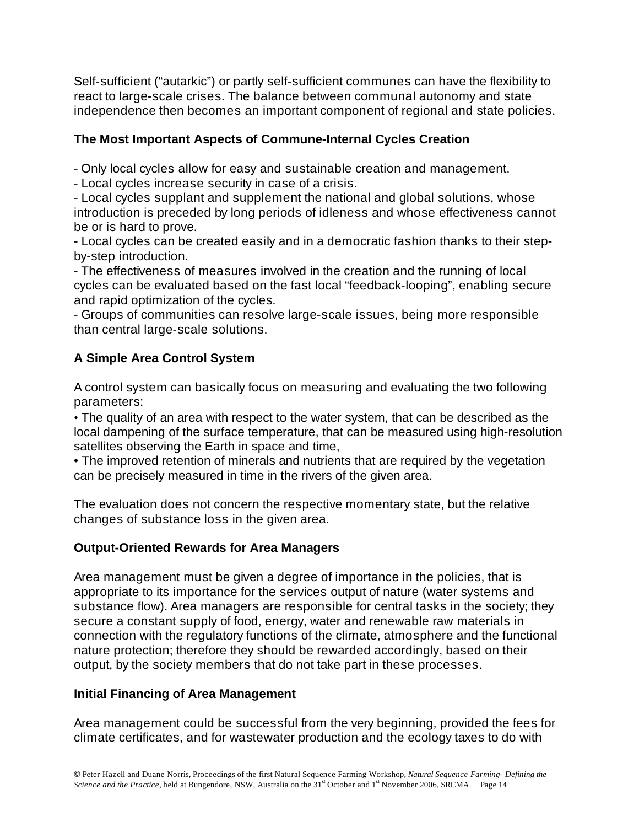Self-sufficient ("autarkic") or partly self-sufficient communes can have the flexibility to react to large-scale crises. The balance between communal autonomy and state independence then becomes an important component of regional and state policies.

## **The Most Important Aspects of Commune-Internal Cycles Creation**

- Only local cycles allow for easy and sustainable creation and management.

- Local cycles increase security in case of a crisis.

- Local cycles supplant and supplement the national and global solutions, whose introduction is preceded by long periods of idleness and whose effectiveness cannot be or is hard to prove.

- Local cycles can be created easily and in a democratic fashion thanks to their stepby-step introduction.

- The effectiveness of measures involved in the creation and the running of local cycles can be evaluated based on the fast local "feedback-looping", enabling secure and rapid optimization of the cycles.

- Groups of communities can resolve large-scale issues, being more responsible than central large-scale solutions.

# **A Simple Area Control System**

A control system can basically focus on measuring and evaluating the two following parameters:

• The quality of an area with respect to the water system, that can be described as the local dampening of the surface temperature, that can be measured using high-resolution satellites observing the Earth in space and time,

• The improved retention of minerals and nutrients that are required by the vegetation can be precisely measured in time in the rivers of the given area.

The evaluation does not concern the respective momentary state, but the relative changes of substance loss in the given area.

# **Output-Oriented Rewards for Area Managers**

Area management must be given a degree of importance in the policies, that is appropriate to its importance for the services output of nature (water systems and substance flow). Area managers are responsible for central tasks in the society; they secure a constant supply of food, energy, water and renewable raw materials in connection with the regulatory functions of the climate, atmosphere and the functional nature protection; therefore they should be rewarded accordingly, based on their output, by the society members that do not take part in these processes.

# **Initial Financing of Area Management**

Area management could be successful from the very beginning, provided the fees for climate certificates, and for wastewater production and the ecology taxes to do with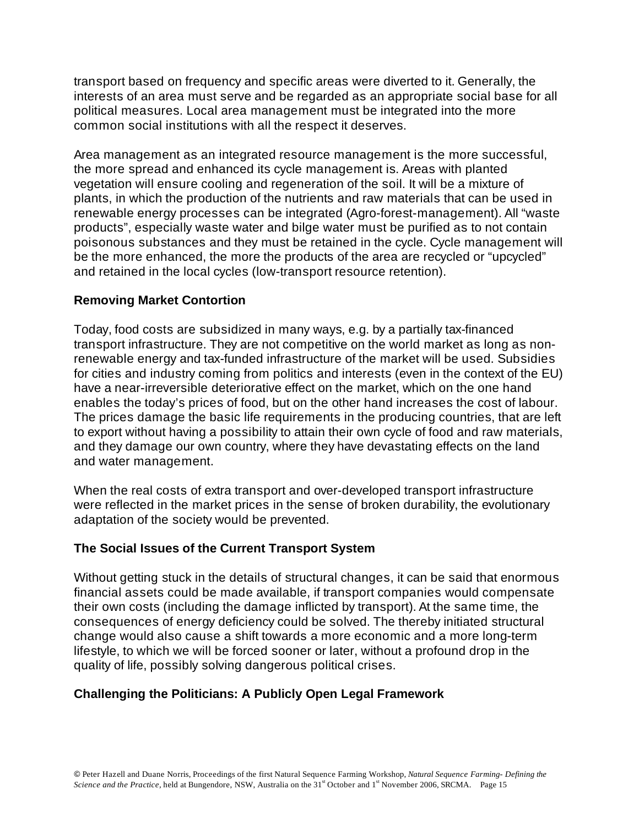transport based on frequency and specific areas were diverted to it. Generally, the interests of an area must serve and be regarded as an appropriate social base for all political measures. Local area management must be integrated into the more common social institutions with all the respect it deserves.

Area management as an integrated resource management is the more successful, the more spread and enhanced its cycle management is. Areas with planted vegetation will ensure cooling and regeneration of the soil. It will be a mixture of plants, in which the production of the nutrients and raw materials that can be used in renewable energy processes can be integrated (Agro-forest-management). All "waste products", especially waste water and bilge water must be purified as to not contain poisonous substances and they must be retained in the cycle. Cycle management will be the more enhanced, the more the products of the area are recycled or "upcycled" and retained in the local cycles (low-transport resource retention).

## **Removing Market Contortion**

Today, food costs are subsidized in many ways, e.g. by a partially tax-financed transport infrastructure. They are not competitive on the world market as long as nonrenewable energy and tax-funded infrastructure of the market will be used. Subsidies for cities and industry coming from politics and interests (even in the context of the EU) have a near-irreversible deteriorative effect on the market, which on the one hand enables the today's prices of food, but on the other hand increases the cost of labour. The prices damage the basic life requirements in the producing countries, that are left to export without having a possibility to attain their own cycle of food and raw materials, and they damage our own country, where they have devastating effects on the land and water management.

When the real costs of extra transport and over-developed transport infrastructure were reflected in the market prices in the sense of broken durability, the evolutionary adaptation of the society would be prevented.

## **The Social Issues of the Current Transport System**

Without getting stuck in the details of structural changes, it can be said that enormous financial assets could be made available, if transport companies would compensate their own costs (including the damage inflicted by transport). At the same time, the consequences of energy deficiency could be solved. The thereby initiated structural change would also cause a shift towards a more economic and a more long-term lifestyle, to which we will be forced sooner or later, without a profound drop in the quality of life, possibly solving dangerous political crises.

## **Challenging the Politicians: A Publicly Open Legal Framework**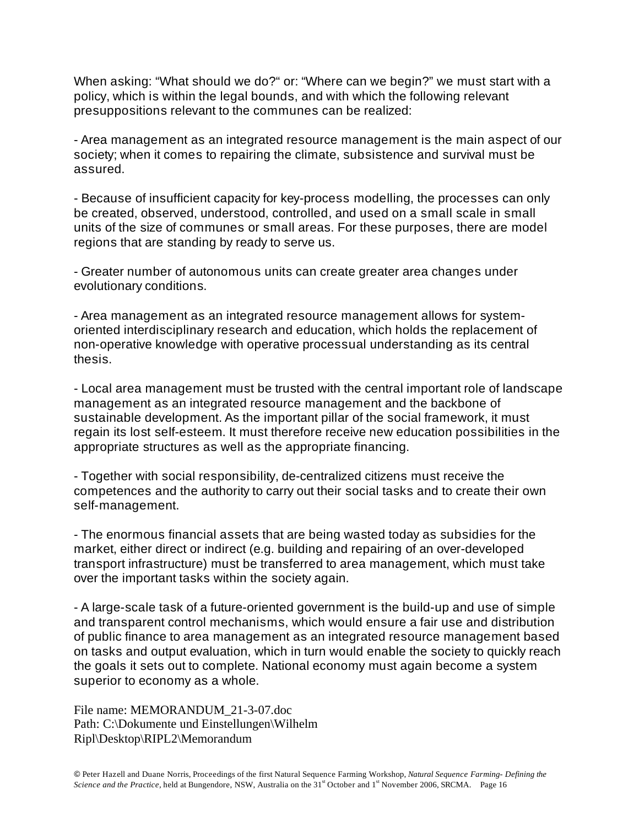When asking: "What should we do?" or: "Where can we begin?" we must start with a policy, which is within the legal bounds, and with which the following relevant presuppositions relevant to the communes can be realized:

- Area management as an integrated resource management is the main aspect of our society; when it comes to repairing the climate, subsistence and survival must be assured.

- Because of insufficient capacity for key-process modelling, the processes can only be created, observed, understood, controlled, and used on a small scale in small units of the size of communes or small areas. For these purposes, there are model regions that are standing by ready to serve us.

- Greater number of autonomous units can create greater area changes under evolutionary conditions.

- Area management as an integrated resource management allows for systemoriented interdisciplinary research and education, which holds the replacement of non-operative knowledge with operative processual understanding as its central thesis.

- Local area management must be trusted with the central important role of landscape management as an integrated resource management and the backbone of sustainable development. As the important pillar of the social framework, it must regain its lost self-esteem. It must therefore receive new education possibilities in the appropriate structures as well as the appropriate financing.

- Together with social responsibility, de-centralized citizens must receive the competences and the authority to carry out their social tasks and to create their own self-management.

- The enormous financial assets that are being wasted today as subsidies for the market, either direct or indirect (e.g. building and repairing of an over-developed transport infrastructure) must be transferred to area management, which must take over the important tasks within the society again.

- A large-scale task of a future-oriented government is the build-up and use of simple and transparent control mechanisms, which would ensure a fair use and distribution of public finance to area management as an integrated resource management based on tasks and output evaluation, which in turn would enable the society to quickly reach the goals it sets out to complete. National economy must again become a system superior to economy as a whole.

File name: MEMORANDUM\_21-3-07.doc Path: C:\Dokumente und Einstellungen\Wilhelm Ripl\Desktop\RIPL2\Memorandum